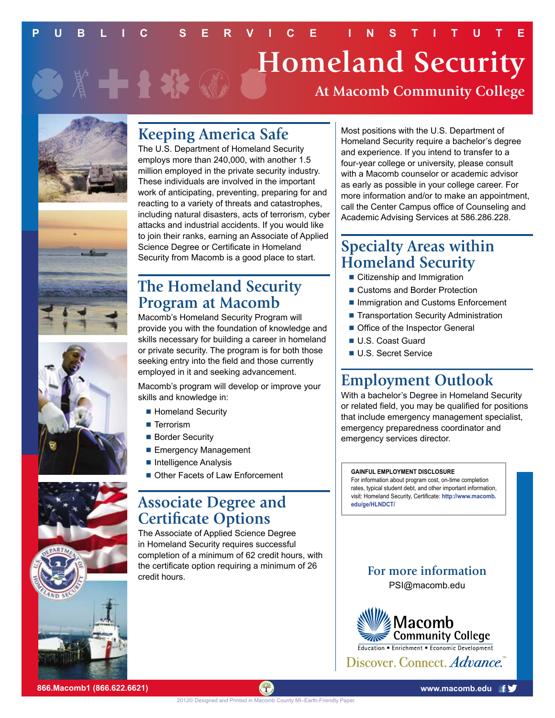## **PUBLIC SERVICE INSTITUTE Homeland Security** 第十十卷 **At Macomb Community College**





The U.S. Department of Homeland Security employs more than 240,000, with another 1.5 million employed in the private security industry. These individuals are involved in the important work of anticipating, preventing, preparing for and reacting to a variety of threats and catastrophes, including natural disasters, acts of terrorism, cyber attacks and industrial accidents. If you would like to join their ranks, earning an Associate of Applied Science Degree or Certificate in Homeland Security from Macomb is a good place to start.

## **The Homeland Security Program at Macomb**

Macomb's Homeland Security Program will provide you with the foundation of knowledge and skills necessary for building a career in homeland or private security. The program is for both those seeking entry into the field and those currently employed in it and seeking advancement.

Macomb's program will develop or improve your skills and knowledge in:

- Homeland Security
- Terrorism
- Border Security
- **Emergency Management**
- **n** Intelligence Analysis
- Other Facets of Law Enforcement

#### **Associate Degree and Certificate Options**

The Associate of Applied Science Degree in Homeland Security requires successful completion of a minimum of 62 credit hours, with the certificate option requiring a minimum of 26 credit hours.

Most positions with the U.S. Department of Homeland Security require a bachelor's degree and experience. If you intend to transfer to a four-year college or university, please consult with a Macomb counselor or academic advisor as early as possible in your college career. For more information and/or to make an appointment, call the Center Campus office of Counseling and Academic Advising Services at 586.286.228.

## **Specialty Areas within Homeland Security**

- Citizenship and Immigration
- Customs and Border Protection
- Immigration and Customs Enforcement
- Transportation Security Administration
- **n** Office of the Inspector General
- **U.S. Coast Guard**
- **U.S. Secret Service**

# **Employment Outlook**

With a bachelor's Degree in Homeland Security or related field, you may be qualified for positions that include emergency management specialist, emergency preparedness coordinator and emergency services director.

#### **GAINFUL EMPLOYMENT DISCLOSURE**

For information about program cost, on-time completion rates, typical student debt, and other important information, visit: Homeland Security, Certificate: **[http://www.macomb.](http://www.macomb.edu/ge/HLNDCT/) [edu/ge/HLNDCT](http://www.macomb.edu/ge/HLNDCT/)/**

#### **For more information** [PSI@macomb.edu](mailto:PSI@macomb.edu)

**Community College**<br>Education • Enrichment • Economic Development Discover. Connect. Advance.





**866.Macomb1 (866.622.6621) [www.macomb.edu](http://www.macomb.edu)**